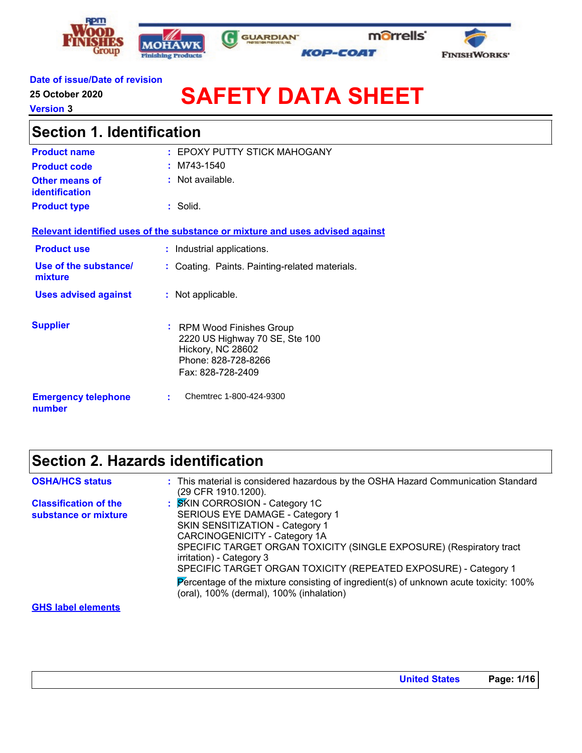



G



### **Date of issue/Date of revision**

**25 October 2020**

**Version 3**

# **SAFETY DATA SHEET**

| <b>Section 1. Identification</b>        |                                                                                                                              |  |
|-----------------------------------------|------------------------------------------------------------------------------------------------------------------------------|--|
| <b>Product name</b>                     | : EPOXY PUTTY STICK MAHOGANY                                                                                                 |  |
| <b>Product code</b>                     | $~1.1$ M743-1540                                                                                                             |  |
| <b>Other means of</b><br>identification | $:$ Not available.                                                                                                           |  |
| <b>Product type</b>                     | : Solid.                                                                                                                     |  |
|                                         | Relevant identified uses of the substance or mixture and uses advised against                                                |  |
| <b>Product use</b>                      | : Industrial applications.                                                                                                   |  |
| Use of the substance/<br>mixture        | : Coating. Paints. Painting-related materials.                                                                               |  |
| <b>Uses advised against</b>             | : Not applicable.                                                                                                            |  |
| <b>Supplier</b>                         | : RPM Wood Finishes Group<br>2220 US Highway 70 SE, Ste 100<br>Hickory, NC 28602<br>Phone: 828-728-8266<br>Fax: 828-728-2409 |  |
| <b>Emergency telephone</b><br>number    | Chemtrec 1-800-424-9300<br>÷                                                                                                 |  |

## **Section 2. Hazards identification**

| <b>OSHA/HCS status</b>                               | : This material is considered hazardous by the OSHA Hazard Communication Standard<br>(29 CFR 1910.1200).                                                                                                                                                                                                                                                                                                                                                |
|------------------------------------------------------|---------------------------------------------------------------------------------------------------------------------------------------------------------------------------------------------------------------------------------------------------------------------------------------------------------------------------------------------------------------------------------------------------------------------------------------------------------|
| <b>Classification of the</b><br>substance or mixture | : SKIN CORROSION - Category 1C<br>SERIOUS EYE DAMAGE - Category 1<br>SKIN SENSITIZATION - Category 1<br><b>CARCINOGENICITY - Category 1A</b><br>SPECIFIC TARGET ORGAN TOXICITY (SINGLE EXPOSURE) (Respiratory tract<br>irritation) - Category 3<br>SPECIFIC TARGET ORGAN TOXICITY (REPEATED EXPOSURE) - Category 1<br>Percentage of the mixture consisting of ingredient(s) of unknown acute toxicity: 100%<br>(oral), 100% (dermal), 100% (inhalation) |
| <b>GHS label elements</b>                            |                                                                                                                                                                                                                                                                                                                                                                                                                                                         |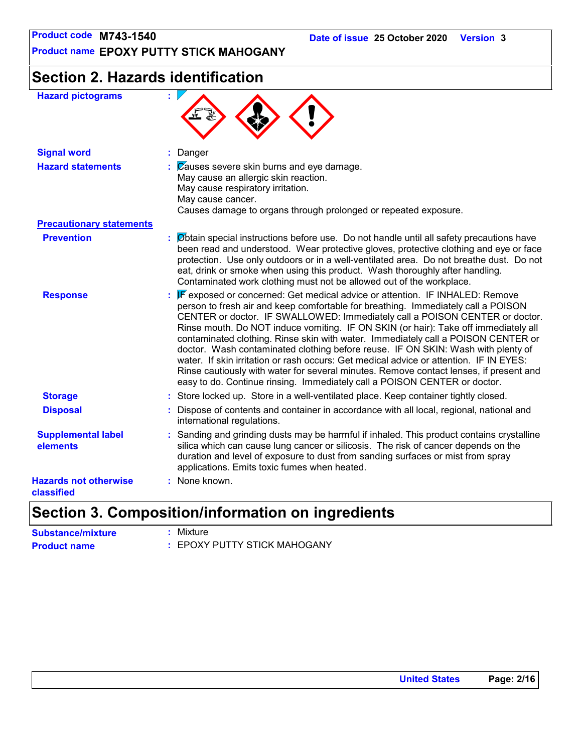**Product name EPOXY PUTTY STICK MAHOGANY**

## **Section 2. Hazards identification**

| <b>Hazard pictograms</b>                   | ŧ.                                                                                                                                                                                                                                                                                                                                                                                                                                                                                                                                                                                                                                                                                                                                                                                 |
|--------------------------------------------|------------------------------------------------------------------------------------------------------------------------------------------------------------------------------------------------------------------------------------------------------------------------------------------------------------------------------------------------------------------------------------------------------------------------------------------------------------------------------------------------------------------------------------------------------------------------------------------------------------------------------------------------------------------------------------------------------------------------------------------------------------------------------------|
| <b>Signal word</b>                         | : Danger                                                                                                                                                                                                                                                                                                                                                                                                                                                                                                                                                                                                                                                                                                                                                                           |
| <b>Hazard statements</b>                   | $\mathcal{C}$ Zauses severe skin burns and eye damage.<br>May cause an allergic skin reaction.<br>May cause respiratory irritation.<br>May cause cancer.<br>Causes damage to organs through prolonged or repeated exposure.                                                                                                                                                                                                                                                                                                                                                                                                                                                                                                                                                        |
| <b>Precautionary statements</b>            |                                                                                                                                                                                                                                                                                                                                                                                                                                                                                                                                                                                                                                                                                                                                                                                    |
| <b>Prevention</b>                          | : Øbtain special instructions before use. Do not handle until all safety precautions have<br>been read and understood. Wear protective gloves, protective clothing and eye or face<br>protection. Use only outdoors or in a well-ventilated area. Do not breathe dust. Do not<br>eat, drink or smoke when using this product. Wash thoroughly after handling.<br>Contaminated work clothing must not be allowed out of the workplace.                                                                                                                                                                                                                                                                                                                                              |
| <b>Response</b>                            | : F exposed or concerned: Get medical advice or attention. IF INHALED: Remove<br>person to fresh air and keep comfortable for breathing. Immediately call a POISON<br>CENTER or doctor. IF SWALLOWED: Immediately call a POISON CENTER or doctor.<br>Rinse mouth. Do NOT induce vomiting. IF ON SKIN (or hair): Take off immediately all<br>contaminated clothing. Rinse skin with water. Immediately call a POISON CENTER or<br>doctor. Wash contaminated clothing before reuse. IF ON SKIN: Wash with plenty of<br>water. If skin irritation or rash occurs: Get medical advice or attention. IF IN EYES:<br>Rinse cautiously with water for several minutes. Remove contact lenses, if present and<br>easy to do. Continue rinsing. Immediately call a POISON CENTER or doctor. |
| <b>Storage</b>                             | : Store locked up. Store in a well-ventilated place. Keep container tightly closed.                                                                                                                                                                                                                                                                                                                                                                                                                                                                                                                                                                                                                                                                                                |
| <b>Disposal</b>                            | Dispose of contents and container in accordance with all local, regional, national and<br>international regulations.                                                                                                                                                                                                                                                                                                                                                                                                                                                                                                                                                                                                                                                               |
| <b>Supplemental label</b><br>elements      | : Sanding and grinding dusts may be harmful if inhaled. This product contains crystalline<br>silica which can cause lung cancer or silicosis. The risk of cancer depends on the<br>duration and level of exposure to dust from sanding surfaces or mist from spray<br>applications. Emits toxic fumes when heated.                                                                                                                                                                                                                                                                                                                                                                                                                                                                 |
| <b>Hazards not otherwise</b><br>classified | : None known.                                                                                                                                                                                                                                                                                                                                                                                                                                                                                                                                                                                                                                                                                                                                                                      |

## **Section 3. Composition/information on ingredients**

| <b>Substance/mixture</b> | : Mixture                    |
|--------------------------|------------------------------|
| <b>Product name</b>      | : EPOXY PUTTY STICK MAHOGANY |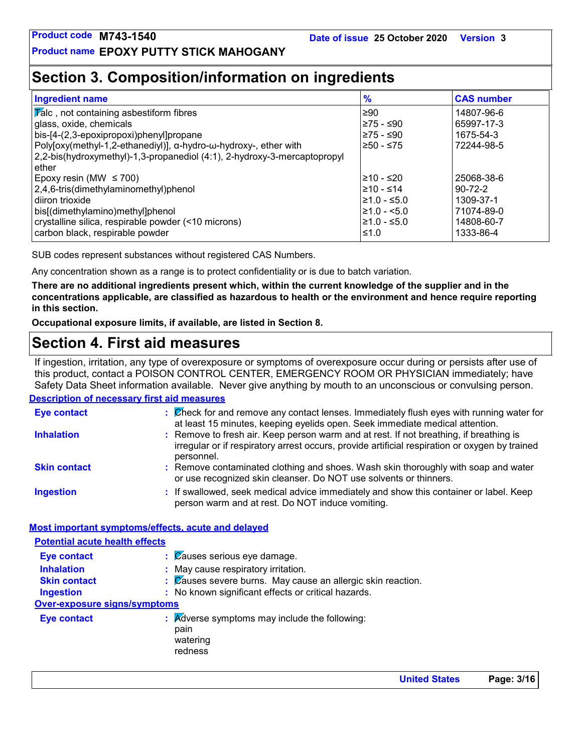## **Section 3. Composition/information on ingredients**

| <b>Ingredient name</b>                                                   | $\frac{9}{6}$    | <b>CAS number</b> |
|--------------------------------------------------------------------------|------------------|-------------------|
| $ \overline{V}$ alc, not containing asbestiform fibres                   | l≥90             | 14807-96-6        |
| glass, oxide, chemicals                                                  | ≥75 - ≤90        | 65997-17-3        |
| bis-[4-(2,3-epoxipropoxi)phenyl]propane                                  | ≥75 - ≤90        | 1675-54-3         |
| Poly[oxy(methyl-1,2-ethanediyl)], α-hydro-ω-hydroxy-, ether with         | $≥50 - ≤75$      | 72244-98-5        |
| 2,2-bis(hydroxymethyl)-1,3-propanediol (4:1), 2-hydroxy-3-mercaptopropyl |                  |                   |
| ether                                                                    |                  |                   |
| Epoxy resin (MW $\leq$ 700)                                              | l≥10 - ≤20       | 25068-38-6        |
| 2,4,6-tris(dimethylaminomethyl)phenol                                    | 210 - ≤14        | $90 - 72 - 2$     |
| diiron trioxide                                                          | $\geq 1.0 - 5.0$ | 1309-37-1         |
| bis[(dimethylamino)methyl]phenol                                         | $\geq 1.0 - 5.0$ | 71074-89-0        |
| crystalline silica, respirable powder (<10 microns)                      | $\geq 1.0 - 5.0$ | 14808-60-7        |
| carbon black, respirable powder                                          | 1.0≤ا            | 1333-86-4         |

SUB codes represent substances without registered CAS Numbers.

Any concentration shown as a range is to protect confidentiality or is due to batch variation.

**There are no additional ingredients present which, within the current knowledge of the supplier and in the concentrations applicable, are classified as hazardous to health or the environment and hence require reporting in this section.**

**Occupational exposure limits, if available, are listed in Section 8.**

## **Section 4. First aid measures**

**Description of necessary first aid measures** If ingestion, irritation, any type of overexposure or symptoms of overexposure occur during or persists after use of this product, contact a POISON CONTROL CENTER, EMERGENCY ROOM OR PHYSICIAN immediately; have Safety Data Sheet information available. Never give anything by mouth to an unconscious or convulsing person.

| <b>Eye contact</b>  | : Check for and remove any contact lenses. Immediately flush eyes with running water for<br>at least 15 minutes, keeping eyelids open. Seek immediate medical attention.                               |
|---------------------|--------------------------------------------------------------------------------------------------------------------------------------------------------------------------------------------------------|
| <b>Inhalation</b>   | : Remove to fresh air. Keep person warm and at rest. If not breathing, if breathing is<br>irregular or if respiratory arrest occurs, provide artificial respiration or oxygen by trained<br>personnel. |
| <b>Skin contact</b> | : Remove contaminated clothing and shoes. Wash skin thoroughly with soap and water<br>or use recognized skin cleanser. Do NOT use solvents or thinners.                                                |
| <b>Ingestion</b>    | : If swallowed, seek medical advice immediately and show this container or label. Keep<br>person warm and at rest. Do NOT induce vomiting.                                                             |

### **Most important symptoms/effects, acute and delayed**

| <b>Potential acute health effects</b> |                                                                                         |
|---------------------------------------|-----------------------------------------------------------------------------------------|
| <b>Eye contact</b>                    | $\therefore$ $\emptyset$ auses serious eye damage.                                      |
| <b>Inhalation</b>                     | : May cause respiratory irritation.                                                     |
| <b>Skin contact</b>                   | $\therefore$ $\mathbb{Z}$ auses severe burns. May cause an allergic skin reaction.      |
| <b>Ingestion</b>                      | : No known significant effects or critical hazards.                                     |
| Over-exposure signs/symptoms          |                                                                                         |
| <b>Eye contact</b>                    | $\therefore$ Adverse symptoms may include the following:<br>pain<br>watering<br>redness |

**United States Page: 3/16**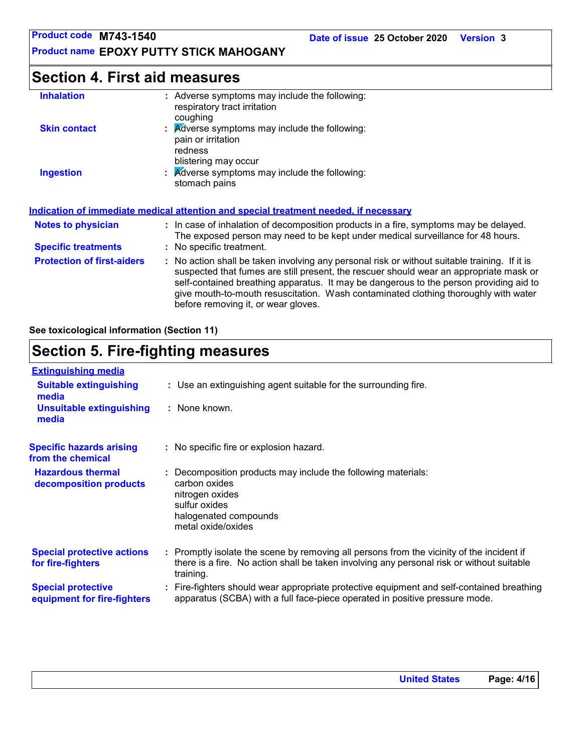## **Section 4. First aid measures**

| <b>Inhalation</b>                 | : Adverse symptoms may include the following:<br>respiratory tract irritation<br>coughing                                                                                                                                                                                                                                                                                                                       |
|-----------------------------------|-----------------------------------------------------------------------------------------------------------------------------------------------------------------------------------------------------------------------------------------------------------------------------------------------------------------------------------------------------------------------------------------------------------------|
| <b>Skin contact</b>               | : Adverse symptoms may include the following:<br>pain or irritation<br>redness<br>blistering may occur                                                                                                                                                                                                                                                                                                          |
| <b>Ingestion</b>                  | : Adverse symptoms may include the following:<br>stomach pains                                                                                                                                                                                                                                                                                                                                                  |
|                                   | <u>Indication of immediate medical attention and special treatment needed, if necessary</u>                                                                                                                                                                                                                                                                                                                     |
| <b>Notes to physician</b>         | : In case of inhalation of decomposition products in a fire, symptoms may be delayed.<br>The exposed person may need to be kept under medical surveillance for 48 hours.                                                                                                                                                                                                                                        |
| <b>Specific treatments</b>        | : No specific treatment.                                                                                                                                                                                                                                                                                                                                                                                        |
| <b>Protection of first-aiders</b> | : No action shall be taken involving any personal risk or without suitable training. If it is<br>suspected that fumes are still present, the rescuer should wear an appropriate mask or<br>self-contained breathing apparatus. It may be dangerous to the person providing aid to<br>give mouth-to-mouth resuscitation. Wash contaminated clothing thoroughly with water<br>before removing it, or wear gloves. |

**See toxicological information (Section 11)**

## **Section 5. Fire-fighting measures**

| <b>Extinguishing media</b>                               |                                                                                                                                                                                                     |
|----------------------------------------------------------|-----------------------------------------------------------------------------------------------------------------------------------------------------------------------------------------------------|
| <b>Suitable extinguishing</b><br>media                   | : Use an extinguishing agent suitable for the surrounding fire.                                                                                                                                     |
| <b>Unsuitable extinguishing</b><br>media                 | : None known.                                                                                                                                                                                       |
| <b>Specific hazards arising</b><br>from the chemical     | : No specific fire or explosion hazard.                                                                                                                                                             |
| <b>Hazardous thermal</b><br>decomposition products       | Decomposition products may include the following materials:<br>carbon oxides<br>nitrogen oxides<br>sulfur oxides<br>halogenated compounds<br>metal oxide/oxides                                     |
| <b>Special protective actions</b><br>for fire-fighters   | : Promptly isolate the scene by removing all persons from the vicinity of the incident if<br>there is a fire. No action shall be taken involving any personal risk or without suitable<br>training. |
| <b>Special protective</b><br>equipment for fire-fighters | : Fire-fighters should wear appropriate protective equipment and self-contained breathing<br>apparatus (SCBA) with a full face-piece operated in positive pressure mode.                            |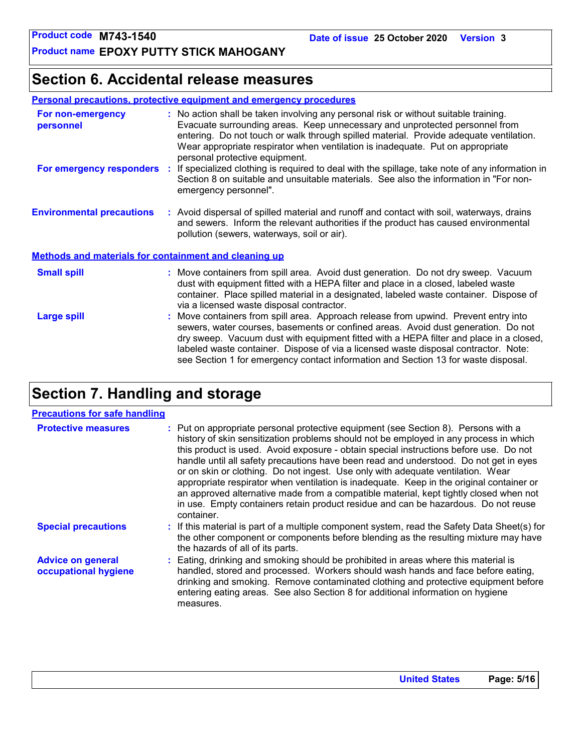## **Section 6. Accidental release measures**

| <b>Personal precautions, protective equipment and emergency procedures</b> |
|----------------------------------------------------------------------------|
|----------------------------------------------------------------------------|

| For non-emergency<br>personnel                               | : No action shall be taken involving any personal risk or without suitable training.<br>Evacuate surrounding areas. Keep unnecessary and unprotected personnel from<br>entering. Do not touch or walk through spilled material. Provide adequate ventilation.<br>Wear appropriate respirator when ventilation is inadequate. Put on appropriate<br>personal protective equipment.                                                               |  |
|--------------------------------------------------------------|-------------------------------------------------------------------------------------------------------------------------------------------------------------------------------------------------------------------------------------------------------------------------------------------------------------------------------------------------------------------------------------------------------------------------------------------------|--|
| For emergency responders                                     | : If specialized clothing is required to deal with the spillage, take note of any information in<br>Section 8 on suitable and unsuitable materials. See also the information in "For non-<br>emergency personnel".                                                                                                                                                                                                                              |  |
| <b>Environmental precautions</b>                             | : Avoid dispersal of spilled material and runoff and contact with soil, waterways, drains<br>and sewers. Inform the relevant authorities if the product has caused environmental<br>pollution (sewers, waterways, soil or air).                                                                                                                                                                                                                 |  |
| <b>Methods and materials for containment and cleaning up</b> |                                                                                                                                                                                                                                                                                                                                                                                                                                                 |  |
| <b>Small spill</b>                                           | : Move containers from spill area. Avoid dust generation. Do not dry sweep. Vacuum<br>dust with equipment fitted with a HEPA filter and place in a closed, labeled waste<br>container. Place spilled material in a designated, labeled waste container. Dispose of<br>via a licensed waste disposal contractor.                                                                                                                                 |  |
| <b>Large spill</b>                                           | : Move containers from spill area. Approach release from upwind. Prevent entry into<br>sewers, water courses, basements or confined areas. Avoid dust generation. Do not<br>dry sweep. Vacuum dust with equipment fitted with a HEPA filter and place in a closed,<br>labeled waste container. Dispose of via a licensed waste disposal contractor. Note:<br>see Section 1 for emergency contact information and Section 13 for waste disposal. |  |

## **Section 7. Handling and storage**

### **Precautions for safe handling**

| <b>Protective measures</b>                       | : Put on appropriate personal protective equipment (see Section 8). Persons with a<br>history of skin sensitization problems should not be employed in any process in which<br>this product is used. Avoid exposure - obtain special instructions before use. Do not<br>handle until all safety precautions have been read and understood. Do not get in eyes<br>or on skin or clothing. Do not ingest. Use only with adequate ventilation. Wear<br>appropriate respirator when ventilation is inadequate. Keep in the original container or<br>an approved alternative made from a compatible material, kept tightly closed when not<br>in use. Empty containers retain product residue and can be hazardous. Do not reuse<br>container. |
|--------------------------------------------------|-------------------------------------------------------------------------------------------------------------------------------------------------------------------------------------------------------------------------------------------------------------------------------------------------------------------------------------------------------------------------------------------------------------------------------------------------------------------------------------------------------------------------------------------------------------------------------------------------------------------------------------------------------------------------------------------------------------------------------------------|
| <b>Special precautions</b>                       | : If this material is part of a multiple component system, read the Safety Data Sheet(s) for<br>the other component or components before blending as the resulting mixture may have<br>the hazards of all of its parts.                                                                                                                                                                                                                                                                                                                                                                                                                                                                                                                   |
| <b>Advice on general</b><br>occupational hygiene | : Eating, drinking and smoking should be prohibited in areas where this material is<br>handled, stored and processed. Workers should wash hands and face before eating,<br>drinking and smoking. Remove contaminated clothing and protective equipment before<br>entering eating areas. See also Section 8 for additional information on hygiene<br>measures.                                                                                                                                                                                                                                                                                                                                                                             |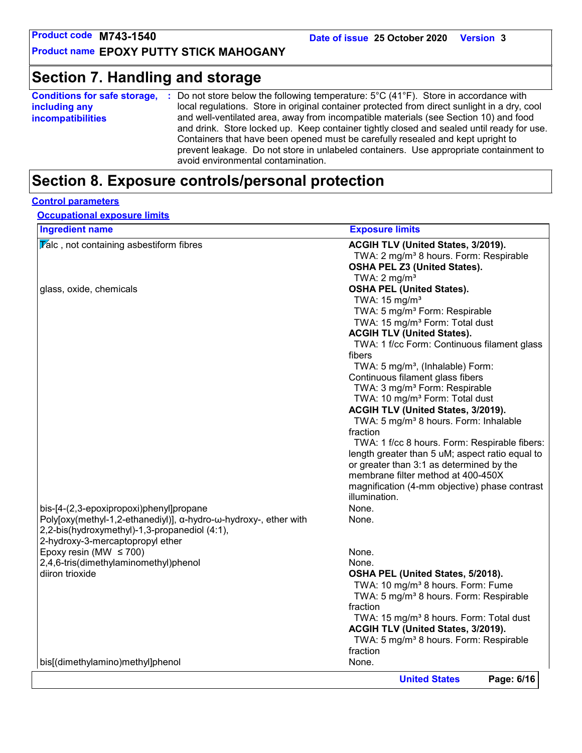## **Section 7. Handling and storage**

| <b>Conditions for safe storage,</b> | Do not store below the following temperature: $5^{\circ}$ C (41 $^{\circ}$ F). Store in accordance with                                                                                                                                                                                                                                                       |
|-------------------------------------|---------------------------------------------------------------------------------------------------------------------------------------------------------------------------------------------------------------------------------------------------------------------------------------------------------------------------------------------------------------|
| including any                       | local regulations. Store in original container protected from direct sunlight in a dry, cool                                                                                                                                                                                                                                                                  |
| <b>incompatibilities</b>            | and well-ventilated area, away from incompatible materials (see Section 10) and food<br>and drink. Store locked up. Keep container tightly closed and sealed until ready for use.<br>Containers that have been opened must be carefully resealed and kept upright to<br>prevent leakage. Do not store in unlabeled containers. Use appropriate containment to |
|                                     | avoid environmental contamination.                                                                                                                                                                                                                                                                                                                            |

## **Section 8. Exposure controls/personal protection**

### **Control parameters**

**Occupational exposure limits**

| <b>Ingredient name</b>                                           | <b>Exposure limits</b>                              |
|------------------------------------------------------------------|-----------------------------------------------------|
| $\sqrt{\mathbf{r}}$ alc, not containing asbestiform fibres       | ACGIH TLV (United States, 3/2019).                  |
|                                                                  | TWA: 2 mg/m <sup>3</sup> 8 hours. Form: Respirable  |
|                                                                  | OSHA PEL Z3 (United States).                        |
|                                                                  | TWA: $2 \text{ mg/m}^3$                             |
| glass, oxide, chemicals                                          | <b>OSHA PEL (United States).</b>                    |
|                                                                  | TWA: $15 \text{ mg/m}^3$                            |
|                                                                  | TWA: 5 mg/m <sup>3</sup> Form: Respirable           |
|                                                                  | TWA: 15 mg/m <sup>3</sup> Form: Total dust          |
|                                                                  | <b>ACGIH TLV (United States).</b>                   |
|                                                                  | TWA: 1 f/cc Form: Continuous filament glass         |
|                                                                  | fibers                                              |
|                                                                  | TWA: 5 mg/m <sup>3</sup> , (Inhalable) Form:        |
|                                                                  | Continuous filament glass fibers                    |
|                                                                  | TWA: 3 mg/m <sup>3</sup> Form: Respirable           |
|                                                                  | TWA: 10 mg/m <sup>3</sup> Form: Total dust          |
|                                                                  | ACGIH TLV (United States, 3/2019).                  |
|                                                                  | TWA: 5 mg/m <sup>3</sup> 8 hours. Form: Inhalable   |
|                                                                  | fraction                                            |
|                                                                  | TWA: 1 f/cc 8 hours. Form: Respirable fibers:       |
|                                                                  | length greater than 5 uM; aspect ratio equal to     |
|                                                                  | or greater than 3:1 as determined by the            |
|                                                                  | membrane filter method at 400-450X                  |
|                                                                  | magnification (4-mm objective) phase contrast       |
|                                                                  | illumination.                                       |
| bis-[4-(2,3-epoxipropoxi)phenyl]propane                          | None.                                               |
| Poly[oxy(methyl-1,2-ethanediyl)], α-hydro-ω-hydroxy-, ether with | None.                                               |
| 2,2-bis(hydroxymethyl)-1,3-propanediol (4:1),                    |                                                     |
| 2-hydroxy-3-mercaptopropyl ether                                 |                                                     |
| Epoxy resin (MW $\leq$ 700)                                      | None.                                               |
| 2,4,6-tris(dimethylaminomethyl)phenol                            | None.                                               |
| diiron trioxide                                                  | OSHA PEL (United States, 5/2018).                   |
|                                                                  | TWA: 10 mg/m <sup>3</sup> 8 hours. Form: Fume       |
|                                                                  | TWA: 5 mg/m <sup>3</sup> 8 hours. Form: Respirable  |
|                                                                  | fraction                                            |
|                                                                  | TWA: 15 mg/m <sup>3</sup> 8 hours. Form: Total dust |
|                                                                  | ACGIH TLV (United States, 3/2019).                  |
|                                                                  | TWA: 5 mg/m <sup>3</sup> 8 hours. Form: Respirable  |
|                                                                  | fraction                                            |
| bis[(dimethylamino)methyl]phenol                                 | None.                                               |
|                                                                  | Page: 6/16                                          |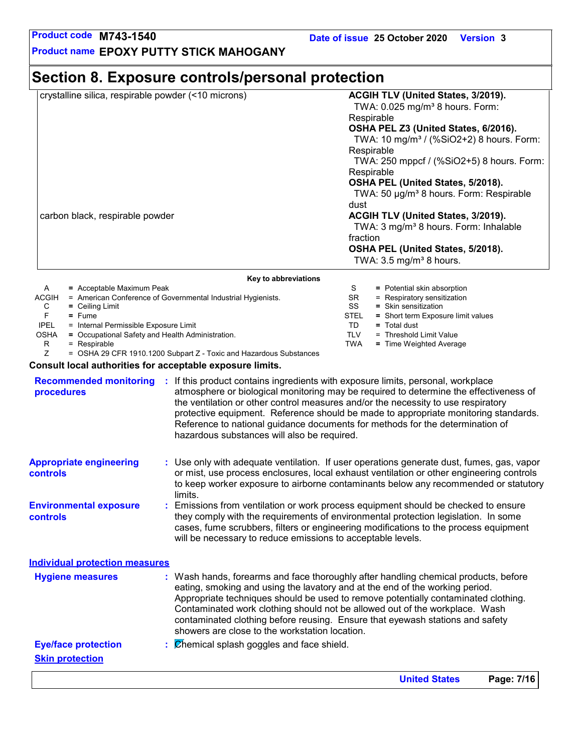**United States Page: 7/16**

**Product name EPOXY PUTTY STICK MAHOGANY**

## **Section 8. Exposure controls/personal protection**

| crystalline silica, respirable powder (<10 microns) | ACGIH TLV (United States, 3/2019).<br>TWA: 0.025 mg/m <sup>3</sup> 8 hours. Form: |
|-----------------------------------------------------|-----------------------------------------------------------------------------------|
|                                                     | Respirable                                                                        |
|                                                     | OSHA PEL Z3 (United States, 6/2016).                                              |
|                                                     | TWA: 10 mg/m <sup>3</sup> / (%SiO2+2) 8 hours. Form:                              |
|                                                     | Respirable                                                                        |
|                                                     | TWA: 250 mppcf / (%SiO2+5) 8 hours. Form:                                         |
|                                                     | Respirable                                                                        |
|                                                     | OSHA PEL (United States, 5/2018).                                                 |
|                                                     | TWA: 50 µg/m <sup>3</sup> 8 hours. Form: Respirable                               |
|                                                     | dust                                                                              |
| carbon black, respirable powder                     | ACGIH TLV (United States, 3/2019).                                                |
|                                                     | TWA: 3 mg/m <sup>3</sup> 8 hours. Form: Inhalable                                 |
|                                                     | fraction                                                                          |
|                                                     | OSHA PEL (United States, 5/2018).                                                 |
|                                                     | TWA: $3.5 \text{ mg/m}^3$ 8 hours.                                                |

| A            | $=$ Acceptable Maximum Peak                                  |             | = Potential skin absorption        |
|--------------|--------------------------------------------------------------|-------------|------------------------------------|
| <b>ACGIH</b> | = American Conference of Governmental Industrial Hygienists. | SR.         | $=$ Respiratory sensitization      |
| С            | $=$ Ceiling Limit                                            | SS          | $=$ Skin sensitization             |
|              | $=$ Fume                                                     | <b>STEL</b> | = Short term Exposure limit values |
| <b>IPEL</b>  | = Internal Permissible Exposure Limit                        | TD          | $=$ Total dust                     |
| <b>OSHA</b>  | = Occupational Safety and Health Administration.             | TLV         | = Threshold Limit Value            |
|              | $=$ Respirable                                               | TWA         | = Time Weighted Average            |
|              |                                                              |             |                                    |

Z = OSHA 29 CFR 1910.1200 Subpart Z - Toxic and Hazardous Substances

**Consult local authorities for acceptable exposure limits.**

| <b>Recommended monitoring</b><br>procedures       | : If this product contains ingredients with exposure limits, personal, workplace<br>atmosphere or biological monitoring may be required to determine the effectiveness of<br>the ventilation or other control measures and/or the necessity to use respiratory<br>protective equipment. Reference should be made to appropriate monitoring standards.<br>Reference to national guidance documents for methods for the determination of<br>hazardous substances will also be required. |
|---------------------------------------------------|---------------------------------------------------------------------------------------------------------------------------------------------------------------------------------------------------------------------------------------------------------------------------------------------------------------------------------------------------------------------------------------------------------------------------------------------------------------------------------------|
| <b>Appropriate engineering</b><br><b>controls</b> | : Use only with adequate ventilation. If user operations generate dust, fumes, gas, vapor<br>or mist, use process enclosures, local exhaust ventilation or other engineering controls<br>to keep worker exposure to airborne contaminants below any recommended or statutory<br>limits.                                                                                                                                                                                               |
| <b>Environmental exposure</b><br><b>controls</b>  | : Emissions from ventilation or work process equipment should be checked to ensure<br>they comply with the requirements of environmental protection legislation. In some<br>cases, fume scrubbers, filters or engineering modifications to the process equipment                                                                                                                                                                                                                      |

|                                                      | will be necessary to reduce emissions to acceptable levels.                                                                                                                                                                                                                                                                                                                                                                                                                 |
|------------------------------------------------------|-----------------------------------------------------------------------------------------------------------------------------------------------------------------------------------------------------------------------------------------------------------------------------------------------------------------------------------------------------------------------------------------------------------------------------------------------------------------------------|
| <b>Individual protection measures</b>                |                                                                                                                                                                                                                                                                                                                                                                                                                                                                             |
| <b>Hygiene measures</b>                              | : Wash hands, forearms and face thoroughly after handling chemical products, before<br>eating, smoking and using the lavatory and at the end of the working period.<br>Appropriate techniques should be used to remove potentially contaminated clothing.<br>Contaminated work clothing should not be allowed out of the workplace. Wash<br>contaminated clothing before reusing. Ensure that eyewash stations and safety<br>showers are close to the workstation location. |
| <b>Eye/face protection</b><br><b>Skin protection</b> | : Chemical splash goggles and face shield.                                                                                                                                                                                                                                                                                                                                                                                                                                  |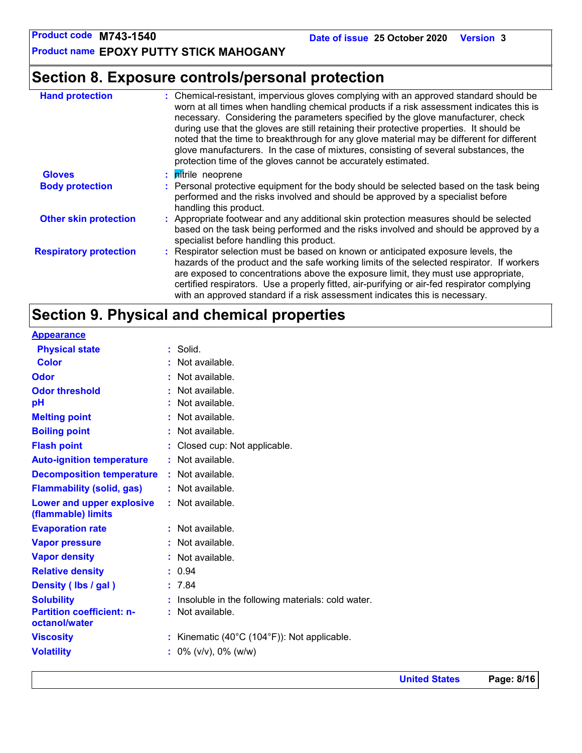**Product name EPOXY PUTTY STICK MAHOGANY**

## **Section 8. Exposure controls/personal protection**

| <b>Hand protection</b>        | : Chemical-resistant, impervious gloves complying with an approved standard should be<br>worn at all times when handling chemical products if a risk assessment indicates this is<br>necessary. Considering the parameters specified by the glove manufacturer, check<br>during use that the gloves are still retaining their protective properties. It should be<br>noted that the time to breakthrough for any glove material may be different for different<br>glove manufacturers. In the case of mixtures, consisting of several substances, the<br>protection time of the gloves cannot be accurately estimated. |
|-------------------------------|------------------------------------------------------------------------------------------------------------------------------------------------------------------------------------------------------------------------------------------------------------------------------------------------------------------------------------------------------------------------------------------------------------------------------------------------------------------------------------------------------------------------------------------------------------------------------------------------------------------------|
| <b>Gloves</b>                 | : <i>pitrile</i> neoprene                                                                                                                                                                                                                                                                                                                                                                                                                                                                                                                                                                                              |
| <b>Body protection</b>        | : Personal protective equipment for the body should be selected based on the task being<br>performed and the risks involved and should be approved by a specialist before<br>handling this product.                                                                                                                                                                                                                                                                                                                                                                                                                    |
| <b>Other skin protection</b>  | : Appropriate footwear and any additional skin protection measures should be selected<br>based on the task being performed and the risks involved and should be approved by a<br>specialist before handling this product.                                                                                                                                                                                                                                                                                                                                                                                              |
| <b>Respiratory protection</b> | : Respirator selection must be based on known or anticipated exposure levels, the<br>hazards of the product and the safe working limits of the selected respirator. If workers<br>are exposed to concentrations above the exposure limit, they must use appropriate,<br>certified respirators. Use a properly fitted, air-purifying or air-fed respirator complying<br>with an approved standard if a risk assessment indicates this is necessary.                                                                                                                                                                     |

## **Section 9. Physical and chemical properties**

| <b>Appearance</b>                                 |                                                              |
|---------------------------------------------------|--------------------------------------------------------------|
| <b>Physical state</b>                             | : Solid.                                                     |
| <b>Color</b>                                      | : Not available.                                             |
| <b>Odor</b>                                       | : Not available.                                             |
| <b>Odor threshold</b>                             | : Not available.                                             |
| pH                                                | : Not available.                                             |
| <b>Melting point</b>                              | : Not available.                                             |
| <b>Boiling point</b>                              | : Not available.                                             |
| <b>Flash point</b>                                | : Closed cup: Not applicable.                                |
| <b>Auto-ignition temperature</b>                  | : Not available.                                             |
| <b>Decomposition temperature</b>                  | : Not available.                                             |
| <b>Flammability (solid, gas)</b>                  | : Not available.                                             |
| Lower and upper explosive<br>(flammable) limits   | : Not available.                                             |
| <b>Evaporation rate</b>                           | : Not available.                                             |
| <b>Vapor pressure</b>                             | : Not available.                                             |
| <b>Vapor density</b>                              | : Not available.                                             |
| <b>Relative density</b>                           | : 0.94                                                       |
| Density (Ibs / gal)                               | : 7.84                                                       |
| <b>Solubility</b>                                 | : Insoluble in the following materials: cold water.          |
| <b>Partition coefficient: n-</b><br>octanol/water | : Not available.                                             |
| <b>Viscosity</b>                                  | : Kinematic $(40^{\circ}C (104^{\circ}F))$ : Not applicable. |
| <b>Volatility</b>                                 | $\frac{1}{2}$ 0% (v/v), 0% (w/w)                             |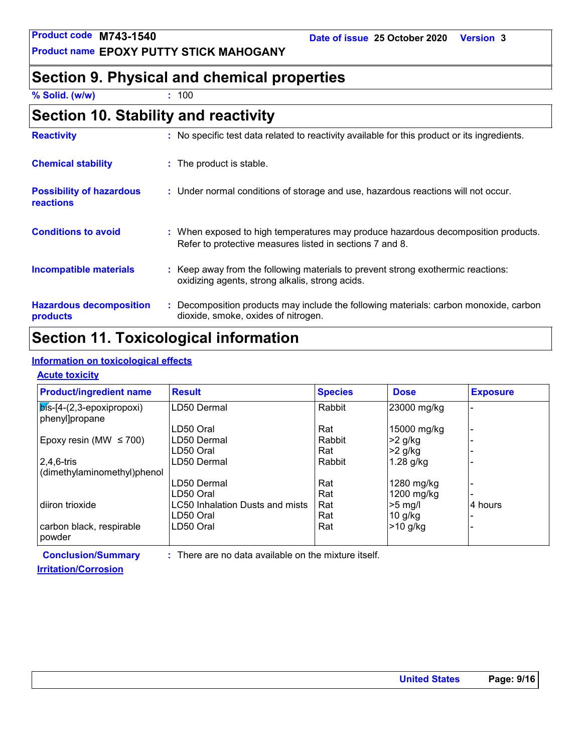## **Section 9. Physical and chemical properties**

**% Solid. (w/w) :** 100

| <b>Reactivity</b>                                   | : No specific test data related to reactivity available for this product or its ingredients.                                                  |
|-----------------------------------------------------|-----------------------------------------------------------------------------------------------------------------------------------------------|
| <b>Chemical stability</b>                           | : The product is stable.                                                                                                                      |
| <b>Possibility of hazardous</b><br><b>reactions</b> | : Under normal conditions of storage and use, hazardous reactions will not occur.                                                             |
| <b>Conditions to avoid</b>                          | : When exposed to high temperatures may produce hazardous decomposition products.<br>Refer to protective measures listed in sections 7 and 8. |
| <b>Incompatible materials</b>                       | : Keep away from the following materials to prevent strong exothermic reactions:<br>oxidizing agents, strong alkalis, strong acids.           |
| <b>Hazardous decomposition</b><br>products          | : Decomposition products may include the following materials: carbon monoxide, carbon<br>dioxide, smoke, oxides of nitrogen.                  |

## **Section 11. Toxicological information**

### **Information on toxicological effects**

### **Acute toxicity**

| <b>Product/ingredient name</b>           | <b>Result</b>                                          | <b>Species</b> | <b>Dose</b>  | <b>Exposure</b> |
|------------------------------------------|--------------------------------------------------------|----------------|--------------|-----------------|
| $\vert$ $\sigma$ = [4-(2,3-epoxipropoxi) | LD50 Dermal                                            | Rabbit         | 23000 mg/kg  |                 |
| phenyl]propane                           |                                                        |                |              |                 |
|                                          | LD50 Oral                                              | Rat            | 15000 mg/kg  |                 |
| Epoxy resin (MW $\leq$ 700)              | LD50 Dermal                                            | Rabbit         | $>2$ g/kg    |                 |
|                                          | LD50 Oral                                              | Rat            | $>2$ g/kg    |                 |
| $2,4,6$ -tris                            | LD50 Dermal                                            | Rabbit         | $1.28$ g/kg  |                 |
| (dimethylaminomethyl)phenol              |                                                        |                |              |                 |
|                                          | LD50 Dermal                                            | Rat            | 1280 mg/kg   |                 |
|                                          | LD50 Oral                                              | Rat            | $1200$ mg/kg |                 |
| diiron trioxide                          | LC50 Inhalation Dusts and mists                        | Rat            | $>5$ mg/l    | 4 hours         |
|                                          | LD50 Oral                                              | Rat            | $10$ g/kg    |                 |
| carbon black, respirable                 | LD50 Oral                                              | Rat            | $>10$ g/kg   |                 |
| powder                                   |                                                        |                |              |                 |
| <b>Conclusion/Summary</b>                | $:$ There are no data available on the mixture itself. |                |              |                 |

### **Irritation/Corrosion**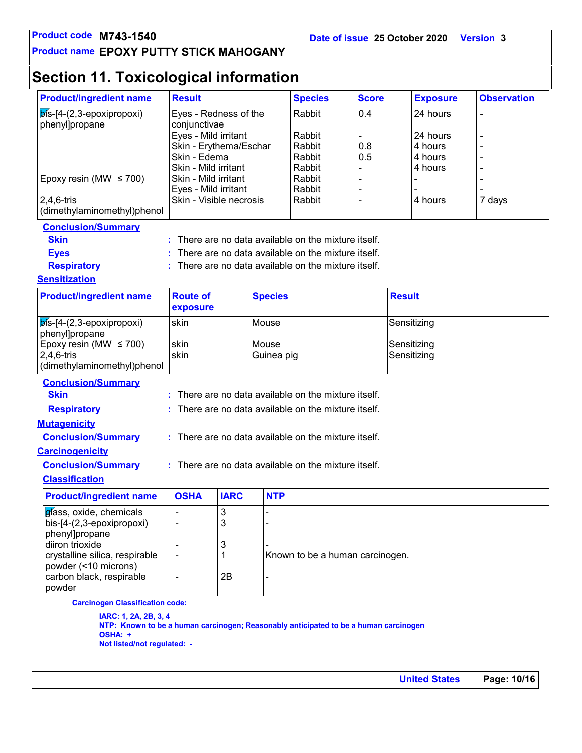### **Product name EPOXY PUTTY STICK MAHOGANY**

## **Section 11. Toxicological information**

| <b>Product/ingredient name</b>                     | <b>Result</b>                                |             |                | <b>Species</b><br><b>Score</b>                       |             | <b>Exposure</b> |          | <b>Observation</b> |  |
|----------------------------------------------------|----------------------------------------------|-------------|----------------|------------------------------------------------------|-------------|-----------------|----------|--------------------|--|
| $b$ is-[4- $(2,3$ -epoxipropoxi)                   | Eyes - Redness of the                        |             |                | Rabbit                                               | 0.4         |                 | 24 hours |                    |  |
| phenyl]propane                                     | conjunctivae                                 |             |                |                                                      |             |                 |          |                    |  |
|                                                    | Eyes - Mild irritant                         |             |                | Rabbit                                               |             |                 | 24 hours |                    |  |
|                                                    | Skin - Erythema/Eschar                       |             |                | Rabbit                                               | 0.8         |                 | 4 hours  |                    |  |
|                                                    | Skin - Edema                                 |             |                | Rabbit                                               | 0.5         |                 | 4 hours  |                    |  |
| Epoxy resin (MW $\leq$ 700)                        | Skin - Mild irritant<br>Skin - Mild irritant |             |                | Rabbit<br>Rabbit                                     |             |                 | 4 hours  |                    |  |
|                                                    | Eyes - Mild irritant                         |             |                | Rabbit                                               |             |                 |          |                    |  |
| 2,4,6-tris                                         | Skin - Visible necrosis                      |             |                | Rabbit                                               |             |                 | 4 hours  | 7 days             |  |
| (dimethylaminomethyl)phenol                        |                                              |             |                |                                                      |             |                 |          |                    |  |
| <b>Conclusion/Summary</b>                          |                                              |             |                |                                                      |             |                 |          |                    |  |
| <b>Skin</b>                                        |                                              |             |                | There are no data available on the mixture itself.   |             |                 |          |                    |  |
| <b>Eyes</b>                                        |                                              |             |                | There are no data available on the mixture itself.   |             |                 |          |                    |  |
|                                                    |                                              |             |                | There are no data available on the mixture itself.   |             |                 |          |                    |  |
| <b>Respiratory</b>                                 |                                              |             |                |                                                      |             |                 |          |                    |  |
| <b>Sensitization</b>                               |                                              |             |                |                                                      |             |                 |          |                    |  |
| <b>Product/ingredient name</b>                     | <b>Route of</b>                              |             | <b>Species</b> |                                                      |             | <b>Result</b>   |          |                    |  |
|                                                    | exposure                                     |             |                |                                                      |             |                 |          |                    |  |
| $b$ is-[4- $(2,3$ -epoxipropoxi)<br>phenyl]propane | skin                                         |             | Mouse          |                                                      | Sensitizing |                 |          |                    |  |
| Epoxy resin (MW $\leq$ 700)                        | skin                                         |             | Mouse          |                                                      | Sensitizing |                 |          |                    |  |
| $2,4,6$ -tris                                      | skin                                         |             | Guinea pig     |                                                      | Sensitizing |                 |          |                    |  |
| (dimethylaminomethyl)phenol                        |                                              |             |                |                                                      |             |                 |          |                    |  |
| <b>Conclusion/Summary</b>                          |                                              |             |                |                                                      |             |                 |          |                    |  |
| <b>Skin</b>                                        |                                              |             |                | There are no data available on the mixture itself.   |             |                 |          |                    |  |
| <b>Respiratory</b>                                 |                                              |             |                | There are no data available on the mixture itself.   |             |                 |          |                    |  |
| <b>Mutagenicity</b>                                |                                              |             |                |                                                      |             |                 |          |                    |  |
| <b>Conclusion/Summary</b>                          |                                              |             |                | : There are no data available on the mixture itself. |             |                 |          |                    |  |
| <b>Carcinogenicity</b>                             |                                              |             |                |                                                      |             |                 |          |                    |  |
| <b>Conclusion/Summary</b>                          |                                              |             |                | : There are no data available on the mixture itself. |             |                 |          |                    |  |
| <b>Classification</b>                              |                                              |             |                |                                                      |             |                 |          |                    |  |
| <b>Product/ingredient name</b>                     | <b>OSHA</b>                                  | <b>IARC</b> | <b>NTP</b>     |                                                      |             |                 |          |                    |  |
| glass, oxide, chemicals                            |                                              | 3           |                |                                                      |             |                 |          |                    |  |
| bis-[4-(2,3-epoxipropoxi)                          |                                              | 3           |                |                                                      |             |                 |          |                    |  |
|                                                    |                                              |             |                |                                                      |             |                 |          |                    |  |
| phenyl]propane                                     |                                              | 3           |                |                                                      |             |                 |          |                    |  |
| diiron trioxide                                    |                                              |             |                |                                                      |             |                 |          |                    |  |
| crystalline silica, respirable                     | $\blacksquare$                               | 1           |                | Known to be a human carcinogen.                      |             |                 |          |                    |  |
| powder (<10 microns)                               |                                              |             |                |                                                      |             |                 |          |                    |  |
| carbon black, respirable<br>powder                 |                                              | 2B          |                |                                                      |             |                 |          |                    |  |

**IARC: 1, 2A, 2B, 3, 4 NTP: Known to be a human carcinogen; Reasonably anticipated to be a human carcinogen OSHA: + Not listed/not regulated: -**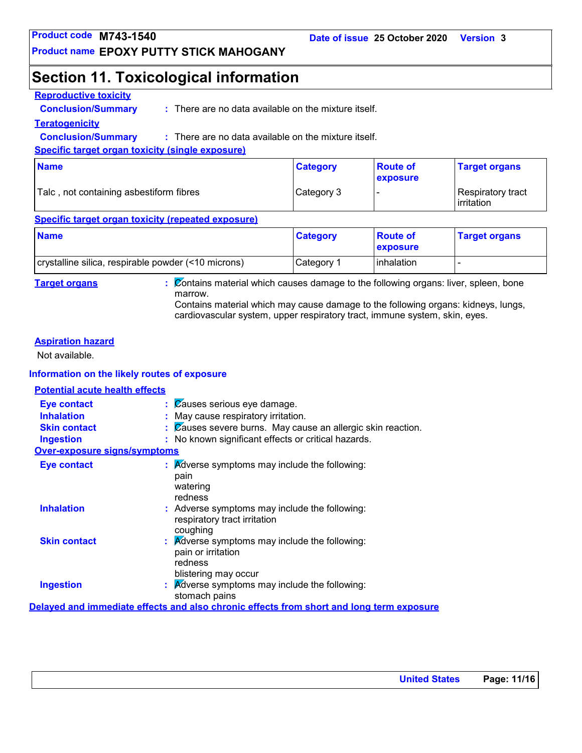## **Section 11. Toxicological information**

### **Reproductive toxicity**

**Conclusion/Summary :**

: There are no data available on the mixture itself.

### **Teratogenicity**

**Conclusion/Summary :** : There are no data available on the mixture itself.

### **Specific target organ toxicity (single exposure)**

| <b>Name</b>                             | <b>Category</b> | <b>Route of</b><br><b>exposure</b> | <b>Target organs</b>                     |
|-----------------------------------------|-----------------|------------------------------------|------------------------------------------|
| Talc, not containing asbestiform fibres | Category 3      |                                    | Respiratory tract<br><b>l</b> irritation |

### **Specific target organ toxicity (repeated exposure)**

| <b>Name</b>                                         | <b>Category</b> | <b>Route of</b><br><b>Lexposure</b> | <b>Target organs</b> |
|-----------------------------------------------------|-----------------|-------------------------------------|----------------------|
| crystalline silica, respirable powder (<10 microns) | Category 1      | Tinhalation                         |                      |

**Target organs :** Contains material which causes damage to the following organs: liver, spleen, bone marrow.

Contains material which may cause damage to the following organs: kidneys, lungs, cardiovascular system, upper respiratory tract, immune system, skin, eyes.

### **Aspiration hazard**

Not available.

### **Information on the likely routes of exposure**

## **Potential acute health effects**

| <b>Eye contact</b>                  | $\mathcal{C}$ auses serious eye damage.                                                  |
|-------------------------------------|------------------------------------------------------------------------------------------|
| <b>Inhalation</b>                   | : May cause respiratory irritation.                                                      |
| <b>Skin contact</b>                 | $\therefore$ $\emptyset$ auses severe burns. May cause an allergic skin reaction.        |
| <b>Ingestion</b>                    | : No known significant effects or critical hazards.                                      |
| <b>Over-exposure signs/symptoms</b> |                                                                                          |
| <b>Eye contact</b>                  | $\therefore$ Adverse symptoms may include the following:                                 |
|                                     | pain                                                                                     |
|                                     | watering                                                                                 |
|                                     | redness                                                                                  |
| <b>Inhalation</b>                   | : Adverse symptoms may include the following:<br>respiratory tract irritation            |
|                                     | coughing                                                                                 |
| <b>Skin contact</b>                 | $\therefore$ Adverse symptoms may include the following:<br>pain or irritation           |
|                                     | redness                                                                                  |
|                                     | blistering may occur                                                                     |
| <b>Ingestion</b>                    | : Adverse symptoms may include the following:                                            |
|                                     | stomach pains                                                                            |
|                                     | Delayed and immediate effects and also chronic effects from short and long term exposure |
|                                     |                                                                                          |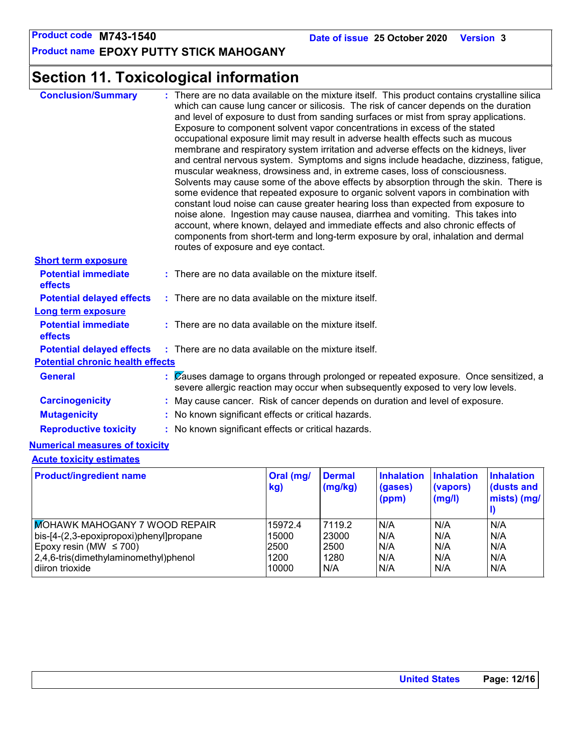**Product name EPOXY PUTTY STICK MAHOGANY**

## **Section 11. Toxicological information**

| <b>Conclusion/Summary</b>                    | : There are no data available on the mixture itself. This product contains crystalline silica<br>which can cause lung cancer or silicosis. The risk of cancer depends on the duration<br>and level of exposure to dust from sanding surfaces or mist from spray applications.<br>Exposure to component solvent vapor concentrations in excess of the stated<br>occupational exposure limit may result in adverse health effects such as mucous<br>membrane and respiratory system irritation and adverse effects on the kidneys, liver<br>and central nervous system. Symptoms and signs include headache, dizziness, fatigue,<br>muscular weakness, drowsiness and, in extreme cases, loss of consciousness.<br>Solvents may cause some of the above effects by absorption through the skin. There is<br>some evidence that repeated exposure to organic solvent vapors in combination with<br>constant loud noise can cause greater hearing loss than expected from exposure to<br>noise alone. Ingestion may cause nausea, diarrhea and vomiting. This takes into<br>account, where known, delayed and immediate effects and also chronic effects of<br>components from short-term and long-term exposure by oral, inhalation and dermal<br>routes of exposure and eye contact. |
|----------------------------------------------|------------------------------------------------------------------------------------------------------------------------------------------------------------------------------------------------------------------------------------------------------------------------------------------------------------------------------------------------------------------------------------------------------------------------------------------------------------------------------------------------------------------------------------------------------------------------------------------------------------------------------------------------------------------------------------------------------------------------------------------------------------------------------------------------------------------------------------------------------------------------------------------------------------------------------------------------------------------------------------------------------------------------------------------------------------------------------------------------------------------------------------------------------------------------------------------------------------------------------------------------------------------------------------|
| <b>Short term exposure</b>                   |                                                                                                                                                                                                                                                                                                                                                                                                                                                                                                                                                                                                                                                                                                                                                                                                                                                                                                                                                                                                                                                                                                                                                                                                                                                                                    |
| <b>Potential immediate</b><br><b>effects</b> | : There are no data available on the mixture itself.                                                                                                                                                                                                                                                                                                                                                                                                                                                                                                                                                                                                                                                                                                                                                                                                                                                                                                                                                                                                                                                                                                                                                                                                                               |
| <b>Potential delayed effects</b>             | $:$ There are no data available on the mixture itself.                                                                                                                                                                                                                                                                                                                                                                                                                                                                                                                                                                                                                                                                                                                                                                                                                                                                                                                                                                                                                                                                                                                                                                                                                             |
| <b>Long term exposure</b>                    |                                                                                                                                                                                                                                                                                                                                                                                                                                                                                                                                                                                                                                                                                                                                                                                                                                                                                                                                                                                                                                                                                                                                                                                                                                                                                    |
| <b>Potential immediate</b><br>effects        | $:$ There are no data available on the mixture itself.                                                                                                                                                                                                                                                                                                                                                                                                                                                                                                                                                                                                                                                                                                                                                                                                                                                                                                                                                                                                                                                                                                                                                                                                                             |
| <b>Potential delayed effects</b>             | : There are no data available on the mixture itself.                                                                                                                                                                                                                                                                                                                                                                                                                                                                                                                                                                                                                                                                                                                                                                                                                                                                                                                                                                                                                                                                                                                                                                                                                               |
| <b>Potential chronic health effects</b>      |                                                                                                                                                                                                                                                                                                                                                                                                                                                                                                                                                                                                                                                                                                                                                                                                                                                                                                                                                                                                                                                                                                                                                                                                                                                                                    |
| <b>General</b>                               | $\mathcal{C}$ (Zauses damage to organs through prolonged or repeated exposure. Once sensitized, a<br>severe allergic reaction may occur when subsequently exposed to very low levels.                                                                                                                                                                                                                                                                                                                                                                                                                                                                                                                                                                                                                                                                                                                                                                                                                                                                                                                                                                                                                                                                                              |
| <b>Carcinogenicity</b>                       | : May cause cancer. Risk of cancer depends on duration and level of exposure.                                                                                                                                                                                                                                                                                                                                                                                                                                                                                                                                                                                                                                                                                                                                                                                                                                                                                                                                                                                                                                                                                                                                                                                                      |
| <b>Mutagenicity</b>                          | : No known significant effects or critical hazards.                                                                                                                                                                                                                                                                                                                                                                                                                                                                                                                                                                                                                                                                                                                                                                                                                                                                                                                                                                                                                                                                                                                                                                                                                                |
| <b>Reproductive toxicity</b>                 | : No known significant effects or critical hazards.                                                                                                                                                                                                                                                                                                                                                                                                                                                                                                                                                                                                                                                                                                                                                                                                                                                                                                                                                                                                                                                                                                                                                                                                                                |

### **Numerical measures of toxicity**

### **Acute toxicity estimates**

| <b>Product/ingredient name</b>          | Oral (mg/<br>kg) | <b>Dermal</b><br>(mg/kg) | <b>Inhalation</b><br>(gases)<br>(ppm) | <b>Inhalation</b><br>(vapors)<br>(mg/l) | <b>Inhalation</b><br>dusts and<br>mists) (mg/ |
|-----------------------------------------|------------------|--------------------------|---------------------------------------|-----------------------------------------|-----------------------------------------------|
| <b>MOHAWK MAHOGANY 7 WOOD REPAIR</b>    | 15972.4          | 7119.2                   | N/A                                   | N/A                                     | N/A                                           |
| bis-[4-(2,3-epoxipropoxi)phenyl]propane | 15000            | 23000                    | N/A                                   | N/A                                     | N/A                                           |
| Epoxy resin (MW $\leq$ 700)             | 2500             | 2500                     | N/A                                   | N/A                                     | N/A                                           |
| 2,4,6-tris(dimethylaminomethyl)phenol   | 1200             | 1280                     | N/A                                   | N/A                                     | N/A                                           |
| diiron trioxide                         | 10000            | N/A                      | N/A                                   | N/A                                     | N/A                                           |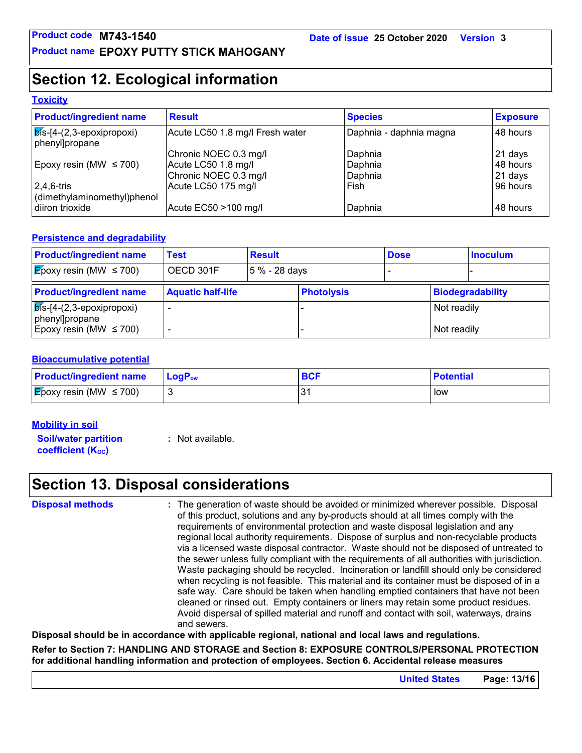## **Section 12. Ecological information**

### **Toxicity**

| <b>Product/ingredient name</b>                       | <b>Result</b>                   | <b>Species</b>          | <b>Exposure</b> |
|------------------------------------------------------|---------------------------------|-------------------------|-----------------|
| $ \vec{b}$ s-[4-(2,3-epoxipropoxi)<br>phenyl]propane | Acute LC50 1.8 mg/l Fresh water | Daphnia - daphnia magna | 48 hours        |
|                                                      | Chronic NOEC 0.3 mg/l           | Daphnia                 | 21 days         |
| Epoxy resin (MW $\leq$ 700)                          | Acute LC50 1.8 mg/l             | Daphnia                 | 48 hours        |
|                                                      | Chronic NOEC 0.3 mg/l           | Daphnia                 | $21$ days       |
| $2,4,6$ -tris                                        | Acute LC50 175 mg/l             | Fish                    | 96 hours        |
| dimethylaminomethyl)phenol                           |                                 |                         |                 |
| diiron trioxide                                      | Acute EC50 >100 mg/l            | Daphnia                 | 48 hours        |

### **Persistence and degradability**

| <b>Product/ingredient name</b>                       | Test                     | <b>Result</b> |                   | <b>Dose</b> |             | <b>Inoculum</b>  |
|------------------------------------------------------|--------------------------|---------------|-------------------|-------------|-------------|------------------|
| <b>E</b> poxy resin (MW $\leq$ 700)                  | OECD 301F                | 5 % - 28 days |                   |             |             |                  |
| <b>Product/ingredient name</b>                       | <b>Aquatic half-life</b> |               | <b>Photolysis</b> |             |             | Biodegradability |
| $ \vec{b}$ s-[4-(2,3-epoxipropoxi)<br>phenyl]propane |                          |               |                   |             | Not readily |                  |
| Epoxy resin (MW $\leq$ 700)                          |                          |               |                   |             | Not readily |                  |

### **Bioaccumulative potential**

| <b>Product/ingredient name</b>      | <b>LogP</b> <sub>ow</sub> | <b>BCI</b> | <b>Potential</b> |
|-------------------------------------|---------------------------|------------|------------------|
| <b>E</b> poxy resin (MW $\leq$ 700) |                           |            | low              |

### **Mobility in soil**

**Soil/water partition coefficient (Koc)** 

**:** Not available.

## **Section 13. Disposal considerations**

**Disposal methods :**

The generation of waste should be avoided or minimized wherever possible. Disposal of this product, solutions and any by-products should at all times comply with the requirements of environmental protection and waste disposal legislation and any regional local authority requirements. Dispose of surplus and non-recyclable products via a licensed waste disposal contractor. Waste should not be disposed of untreated to the sewer unless fully compliant with the requirements of all authorities with jurisdiction. Waste packaging should be recycled. Incineration or landfill should only be considered when recycling is not feasible. This material and its container must be disposed of in a safe way. Care should be taken when handling emptied containers that have not been cleaned or rinsed out. Empty containers or liners may retain some product residues. Avoid dispersal of spilled material and runoff and contact with soil, waterways, drains and sewers.

**Disposal should be in accordance with applicable regional, national and local laws and regulations.**

**Refer to Section 7: HANDLING AND STORAGE and Section 8: EXPOSURE CONTROLS/PERSONAL PROTECTION for additional handling information and protection of employees. Section 6. Accidental release measures**

**United States Page: 13/16**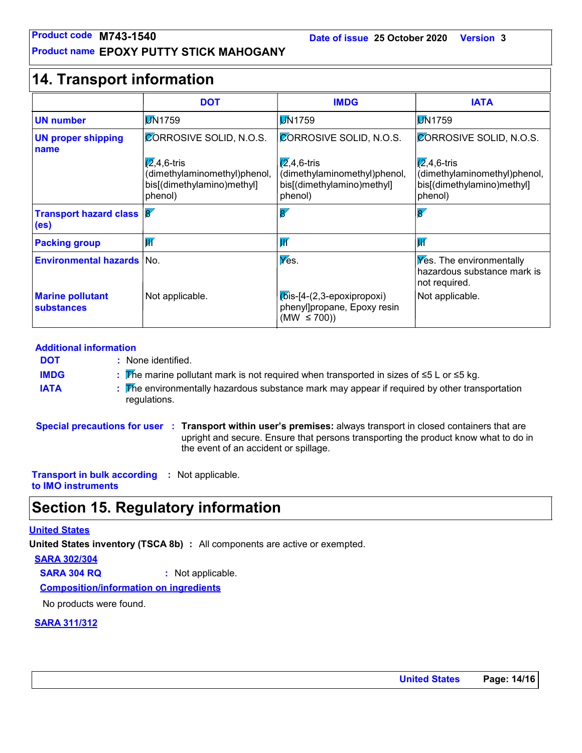### **Product name EPOXY PUTTY STICK MAHOGANY**

| Product code M743-1540<br>Date of issue 25 October 2020<br><b>Version 3</b><br><b>Product name EPOXY PUTTY STICK MAHOGANY</b> |                                                                                               |                                                                                               |                                                                                               |  |
|-------------------------------------------------------------------------------------------------------------------------------|-----------------------------------------------------------------------------------------------|-----------------------------------------------------------------------------------------------|-----------------------------------------------------------------------------------------------|--|
| <b>14. Transport information</b>                                                                                              |                                                                                               |                                                                                               |                                                                                               |  |
|                                                                                                                               | <b>DOT</b>                                                                                    | <b>IMDG</b>                                                                                   | <b>IATA</b>                                                                                   |  |
| <b>UN number</b>                                                                                                              | <b>DN1759</b>                                                                                 | <b>DN1759</b>                                                                                 | <b>JN1759</b>                                                                                 |  |
| <b>UN proper shipping</b><br>name                                                                                             | <b>CORROSIVE SOLID, N.O.S.</b>                                                                | CORROSIVE SOLID, N.O.S.                                                                       | <b>CORROSIVE SOLID, N.O.S.</b>                                                                |  |
|                                                                                                                               | $\sqrt{2}$ ,4,6-tris<br>(dimethylaminomethyl)phenol,<br>bis[(dimethylamino)methyl]<br>phenol) | $\sqrt{2}$ ,4,6-tris<br>(dimethylaminomethyl)phenol,<br>bis[(dimethylamino)methyl]<br>phenol) | $\sqrt{2}$ ,4,6-tris<br>(dimethylaminomethyl)phenol,<br>bis[(dimethylamino)methyl]<br>phenol) |  |
| <b>Transport hazard class 8</b><br>(e <sub>s</sub> )                                                                          |                                                                                               | $\overline{8'}$                                                                               | $\overline{8}$                                                                                |  |
| <b>Packing group</b>                                                                                                          | $\overline{\mathsf{W}}$                                                                       | $\overline{\mathsf{W}}$                                                                       | $\overline{\mathbf{W}}$                                                                       |  |
| <b>Environmental hazards   No.</b>                                                                                            |                                                                                               | Yes.                                                                                          | <b>Yes.</b> The environmentally<br>hazardous substance mark is<br>not required.               |  |
| <b>Marine pollutant</b><br>substances                                                                                         | Not applicable.                                                                               | $K$ is-[4- $(2,3)$ -epoxipropoxi)<br>phenyl]propane, Epoxy resin<br>(MW $\leq$ 700))          | Not applicable.                                                                               |  |

### **Additional information**

- None identified. **: DOT**
	- The marine pollutant mark is not required when transported in sizes of ≤5 L or ≤5 kg. **:**
- **IATA :** The environmentally hazardous substance mark may appear if required by other transportation regulations.

**Special precautions for user Transport within user's premises:** always transport in closed containers that are **:** upright and secure. Ensure that persons transporting the product know what to do in the event of an accident or spillage.

**Transport in bulk according :** Not applicable. **to IMO instruments**

## **Section 15. Regulatory information**

### **United States**

**IMDG**

**United States inventory (TSCA 8b) :** All components are active or exempted.

**SARA 302/304**

**SARA 304 RQ :** Not applicable.

**Composition/information on ingredients**

No products were found.

### **SARA 311/312**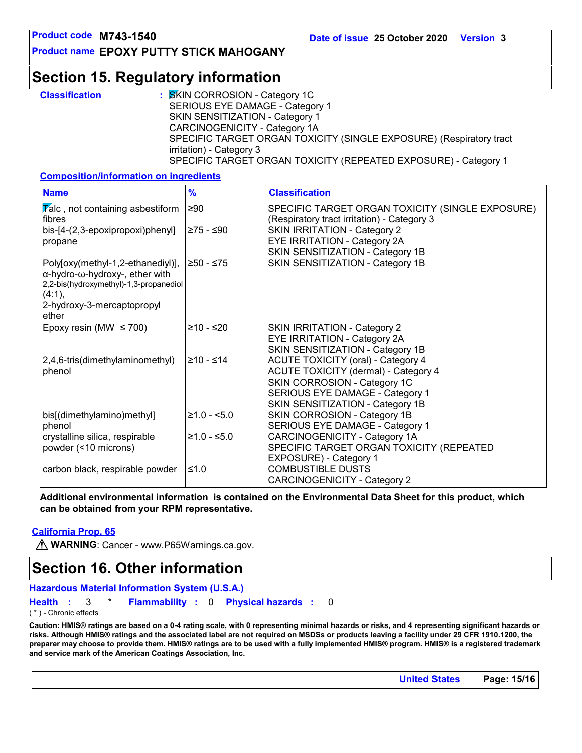**Product name EPOXY PUTTY STICK MAHOGANY**

## **Section 15. Regulatory information**

| <b>Classification</b> | : SKIN CORROSION - Category 1C                                      |
|-----------------------|---------------------------------------------------------------------|
|                       | SERIOUS EYE DAMAGE - Category 1                                     |
|                       | <b>SKIN SENSITIZATION - Category 1</b>                              |
|                       | CARCINOGENICITY - Category 1A                                       |
|                       | SPECIFIC TARGET ORGAN TOXICITY (SINGLE EXPOSURE) (Respiratory tract |
|                       | irritation) - Category 3                                            |
|                       | SPECIFIC TARGET ORGAN TOXICITY (REPEATED EXPOSURE) - Category 1     |

### **Composition/information on ingredients**

| <b>Name</b>                                                                                                             | $\frac{9}{6}$ | <b>Classification</b>                                                                           |
|-------------------------------------------------------------------------------------------------------------------------|---------------|-------------------------------------------------------------------------------------------------|
| $\overline{V}$ alc, not containing asbestiform<br>fibres                                                                | $\geq 90$     | SPECIFIC TARGET ORGAN TOXICITY (SINGLE EXPOSURE)<br>(Respiratory tract irritation) - Category 3 |
| bis-[4-(2,3-epoxipropoxi)phenyl]<br>propane                                                                             | ≥75 - ≤90     | <b>SKIN IRRITATION - Category 2</b><br>EYE IRRITATION - Category 2A                             |
|                                                                                                                         |               | SKIN SENSITIZATION - Category 1B                                                                |
| Poly[oxy(methyl-1,2-ethanediyl)],<br>α-hydro-ω-hydroxy-, ether with<br>2,2-bis(hydroxymethyl)-1,3-propanediol<br>(4:1), | ≥50 - ≤75     | SKIN SENSITIZATION - Category 1B                                                                |
| 2-hydroxy-3-mercaptopropyl<br>ether                                                                                     |               |                                                                                                 |
| Epoxy resin (MW $\leq$ 700)                                                                                             | $≥10 - ≤20$   | <b>SKIN IRRITATION - Category 2</b><br>EYE IRRITATION - Category 2A                             |
|                                                                                                                         |               | SKIN SENSITIZATION - Category 1B                                                                |
| 2,4,6-tris(dimethylaminomethyl)                                                                                         | $≥10 - ≤14$   | <b>ACUTE TOXICITY (oral) - Category 4</b>                                                       |
| phenol                                                                                                                  |               | <b>ACUTE TOXICITY (dermal) - Category 4</b><br>SKIN CORROSION - Category 1C                     |
|                                                                                                                         |               | SERIOUS EYE DAMAGE - Category 1                                                                 |
|                                                                                                                         |               | SKIN SENSITIZATION - Category 1B                                                                |
| bis[(dimethylamino)methyl]<br>phenol                                                                                    | $≥1.0 - 5.0$  | SKIN CORROSION - Category 1B<br>SERIOUS EYE DAMAGE - Category 1                                 |
| crystalline silica, respirable                                                                                          | $≥1.0 - ≤5.0$ | CARCINOGENICITY - Category 1A                                                                   |
| powder (<10 microns)                                                                                                    |               | SPECIFIC TARGET ORGAN TOXICITY (REPEATED                                                        |
| carbon black, respirable powder                                                                                         | ≤1.0          | EXPOSURE) - Category 1<br><b>COMBUSTIBLE DUSTS</b><br><b>CARCINOGENICITY - Category 2</b>       |

**Additional environmental information is contained on the Environmental Data Sheet for this product, which can be obtained from your RPM representative.**

### **California Prop. 65**

**M** WARNING: Cancer - www.P65Warnings.ca.gov.

## **Section 16. Other information**

```
Hazardous Material Information System (U.S.A.)
```
**Health Flammability** 0 **Physical hazards :** 3 \* **: :** 0

( \* ) - Chronic effects

**Caution: HMIS® ratings are based on a 0-4 rating scale, with 0 representing minimal hazards or risks, and 4 representing significant hazards or risks. Although HMIS® ratings and the associated label are not required on MSDSs or products leaving a facility under 29 CFR 1910.1200, the preparer may choose to provide them. HMIS® ratings are to be used with a fully implemented HMIS® program. HMIS® is a registered trademark and service mark of the American Coatings Association, Inc.**

**United States Page: 15/16**